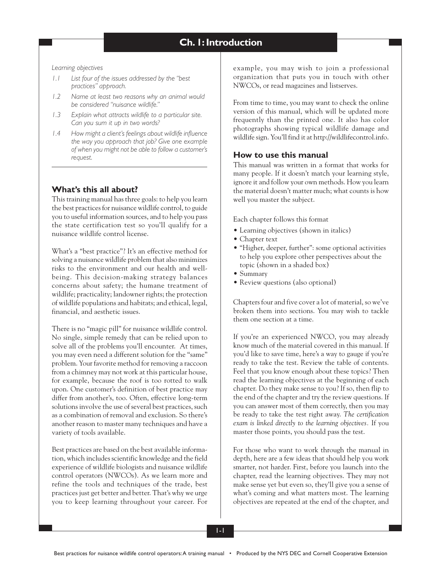*Learning objectives*

- *1.1 List four of the issues addressed by the "best practices" approach.*
- *1.2 Name at least two reasons why an animal would be considered "nuisance wildlife."*
- *1.3 Explain what attracts wildlife to a particular site. Can you sum it up in two words?*
- *1.4 How might a client's feelings about wildlife influence the way you approach that job? Give one example of when you might not be able to follow a customer's request.*

# **What's this all about?**

This training manual has three goals: to help you learn the best practices for nuisance wildlife control, to guide you to useful information sources, and to help you pass the state certification test so you'll qualify for a nuisance wildlife control license.

What's a "best practice"? It's an effective method for solving a nuisance wildlife problem that also minimizes risks to the environment and our health and wellbeing. This decision-making strategy balances concerns about safety; the humane treatment of wildlife; practicality; landowner rights; the protection of wildlife populations and habitats; and ethical, legal, financial, and aesthetic issues.

There is no "magic pill" for nuisance wildlife control. No single, simple remedy that can be relied upon to solve all of the problems you'll encounter. At times, you may even need a different solution for the "same" problem. Your favorite method for removing a raccoon from a chimney may not work at this particular house, for example, because the roof is too rotted to walk upon. One customer's definition of best practice may differ from another's, too. Often, effective long-term solutions involve the use of several best practices, such as a combination of removal and exclusion. So there's another reason to master many techniques and have a variety of tools available.

Best practices are based on the best available information, which includes scientific knowledge and the field experience of wildlife biologists and nuisance wildlife control operators (NWCOs). As we learn more and refine the tools and techniques of the trade, best practices just get better and better. That's why we urge you to keep learning throughout your career. For example, you may wish to join a professional organization that puts you in touch with other NWCOs, or read magazines and listserves.

From time to time, you may want to check the online version of this manual, which will be updated more frequently than the printed one. It also has color photographs showing typical wildlife damage and wildlife sign. You'll find it at http://wildlifecontrol.info.

# **How to use this manual**

This manual was written in a format that works for many people. If it doesn't match your learning style, ignore it and follow your own methods. How you learn the material doesn't matter much; what counts is how well you master the subject.

Each chapter follows this format

- Learning objectives (shown in italics)
- Chapter text
- "Higher, deeper, further": some optional activities to help you explore other perspectives about the topic (shown in a shaded box)
- Summary
- Review questions (also optional)

Chapters four and five cover a lot of material, so we've broken them into sections. You may wish to tackle them one section at a time.

If you're an experienced NWCO, you may already know much of the material covered in this manual. If you'd like to save time, here's a way to gauge if you're ready to take the test. Review the table of contents. Feel that you know enough about these topics? Then read the learning objectives at the beginning of each chapter. Do they make sense to you? If so, then flip to the end of the chapter and try the review questions. If you can answer most of them correctly, then you may be ready to take the test right away. *The certification exam is linked directly to the learning objectives.* If you master those points, you should pass the test.

For those who want to work through the manual in depth, here are a few ideas that should help you work smarter, not harder. First, before you launch into the chapter, read the learning objectives. They may not make sense yet but even so, they'll give you a sense of what's coming and what matters most. The learning objectives are repeated at the end of the chapter, and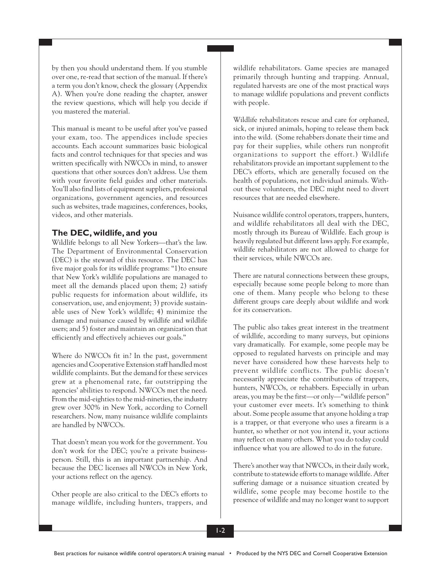by then you should understand them. If you stumble over one, re-read that section of the manual. If there's a term you don't know, check the glossary (Appendix A). When you're done reading the chapter, answer the review questions, which will help you decide if you mastered the material.

This manual is meant to be useful after you've passed your exam, too. The appendices include species accounts. Each account summarizes basic biological facts and control techniques for that species and was written specifically with NWCOs in mind, to answer questions that other sources don't address. Use them with your favorite field guides and other materials. You'll also find lists of equipment suppliers, professional organizations, government agencies, and resources such as websites, trade magazines, conferences, books, videos, and other materials.

# **The DEC, wildlife, and you**

Wildlife belongs to all New Yorkers—that's the law. The Department of Environmental Conservation (DEC) is the steward of this resource. The DEC has five major goals for its wildlife programs: "1)to ensure that New York's wildlife populations are managed to meet all the demands placed upon them; 2) satisfy public requests for information about wildlife, its conservation, use, and enjoyment; 3) provide sustainable uses of New York's wildlife; 4) minimize the damage and nuisance caused by wildlife and wildlife users; and 5) foster and maintain an organization that efficiently and effectively achieves our goals."

Where do NWCOs fit in? In the past, government agencies and Cooperative Extension staff handled most wildlife complaints. But the demand for these services grew at a phenomenal rate, far outstripping the agencies' abilities to respond. NWCOs met the need. From the mid-eighties to the mid-nineties, the industry grew over 300% in New York, according to Cornell researchers. Now, many nuisance wildlife complaints are handled by NWCOs.

That doesn't mean you work for the government. You don't work for the DEC; you're a private businessperson. Still, this is an important partnership. And because the DEC licenses all NWCOs in New York, your actions reflect on the agency.

Other people are also critical to the DEC's efforts to manage wildlife, including hunters, trappers, and wildlife rehabilitators. Game species are managed primarily through hunting and trapping. Annual, regulated harvests are one of the most practical ways to manage wildlife populations and prevent conflicts with people.

Wildlife rehabilitators rescue and care for orphaned, sick, or injured animals, hoping to release them back into the wild. (Some rehabbers donate their time and pay for their supplies, while others run nonprofit organizations to support the effort.) Wildlife rehabilitators provide an important supplement to the DEC's efforts, which are generally focused on the health of populations, not individual animals. Without these volunteers, the DEC might need to divert resources that are needed elsewhere.

Nuisance wildlife control operators, trappers, hunters, and wildlife rehabilitators all deal with the DEC, mostly through its Bureau of Wildlife. Each group is heavily regulated but different laws apply. For example, wildlife rehabilitators are not allowed to charge for their services, while NWCOs are.

There are natural connections between these groups, especially because some people belong to more than one of them. Many people who belong to these different groups care deeply about wildlife and work for its conservation.

The public also takes great interest in the treatment of wildlife, according to many surveys, but opinions vary dramatically. For example, some people may be opposed to regulated harvests on principle and may never have considered how these harvests help to prevent wildlife conflicts. The public doesn't necessarily appreciate the contributions of trappers, hunters, NWCOs, or rehabbers. Especially in urban areas, you may be the first—or only—"wildlife person" your customer ever meets. It's something to think about. Some people assume that anyone holding a trap is a trapper, or that everyone who uses a firearm is a hunter, so whether or not you intend it, your actions may reflect on many others. What you do today could influence what you are allowed to do in the future.

There's another way that NWCOs, in their daily work, contribute to statewide efforts to manage wildlife. After suffering damage or a nuisance situation created by wildlife, some people may become hostile to the presence of wildlife and may no longer want to support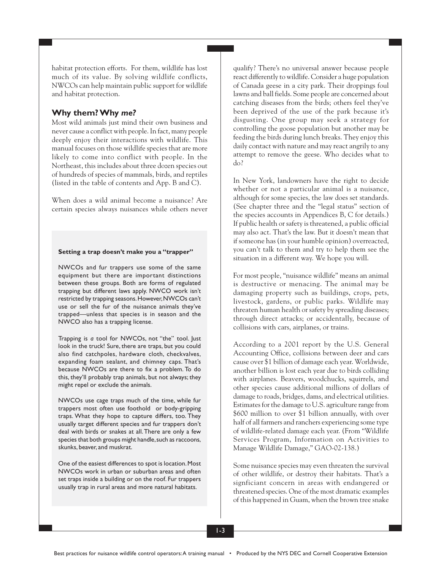habitat protection efforts. For them, wildlife has lost much of its value. By solving wildlife conflicts, NWCOs can help maintain public support for wildlife and habitat protection.

## **Why them? Why** *me?*

Most wild animals just mind their own business and never cause a conflict with people. In fact, many people deeply enjoy their interactions with wildlife. This manual focuses on those wildlife species that are more likely to come into conflict with people. In the Northeast, this includes about three dozen species out of hundreds of species of mammals, birds, and reptiles (listed in the table of contents and App. B and C).

When does a wild animal become a nuisance? Are certain species always nuisances while others never

#### **Setting a trap doesn't make you a "trapper"**

NWCOs and fur trappers use some of the same equipment but there are important distinctions between these groups. Both are forms of regulated trapping but different laws apply. NWCO work isn't restricted by trapping seasons. However, NWCOs can't use or sell the fur of the nuisance animals they've trapped—unless that species is in season and the NWCO also has a trapping license.

Trapping is *a* tool for NWCOs, not "the" tool. Just look in the truck! Sure, there are traps, but you could also find catchpoles, hardware cloth, checkvalves, expanding foam sealant, and chimney caps. That's because NWCOs are there to fix a problem. To do this, they'll probably trap animals, but not always; they might repel or exclude the animals.

NWCOs use cage traps much of the time, while fur trappers most often use foothold or body-gripping traps. What they hope to capture differs, too. They usually target different species and fur trappers don't deal with birds or snakes at all. There are only a few species that both groups might handle, such as raccoons, skunks, beaver, and muskrat.

One of the easiest differences to spot is location. Most NWCOs work in urban or suburban areas and often set traps inside a building or on the roof. Fur trappers usually trap in rural areas and more natural habitats.

qualify? There's no universal answer because people react differently to wildlife. Consider a huge population of Canada geese in a city park. Their droppings foul lawns and ball fields. Some people are concerned about catching diseases from the birds; others feel they've been deprived of the use of the park because it's disgusting. One group may seek a strategy for controlling the goose population but another may be feeding the birds during lunch breaks. They enjoy this daily contact with nature and may react angrily to any attempt to remove the geese. Who decides what to do?

In New York, landowners have the right to decide whether or not a particular animal is a nuisance, although for some species, the law does set standards. (See chapter three and the "legal status" section of the species accounts in Appendices B, C for details.) If public health or safety is threatened, a public official may also act. That's the law. But it doesn't mean that if someone has (in your humble opinion) overreacted, you can't talk to them and try to help them see the situation in a different way. We hope you will.

For most people, "nuisance wildlife" means an animal is destructive or menacing. The animal may be damaging property such as buildings, crops, pets, livestock, gardens, or public parks. Wildlife may threaten human health or safety by spreading diseases; through direct attacks; or accidentally, because of collisions with cars, airplanes, or trains.

According to a 2001 report by the U.S. General Accounting Office, collisions between deer and cars cause over \$1 billion of damage each year. Worldwide, another billion is lost each year due to birds colliding with airplanes. Beavers, woodchucks, squirrels, and other species cause additional millions of dollars of damage to roads, bridges, dams, and electrical utilities. Estimates for the damage to U.S. agriculture range from \$600 million to over \$1 billion annually, with over half of all farmers and ranchers experiencing some type of wildlife-related damage each year. (From "Wildlife Services Program, Information on Activities to Manage Wildlife Damage," GAO-02-138.)

Some nuisance species may even threaten the survival of other wildlife, or destroy their habitats. That's a signficiant concern in areas with endangered or threatened species. One of the most dramatic examples of this happened in Guam, when the brown tree snake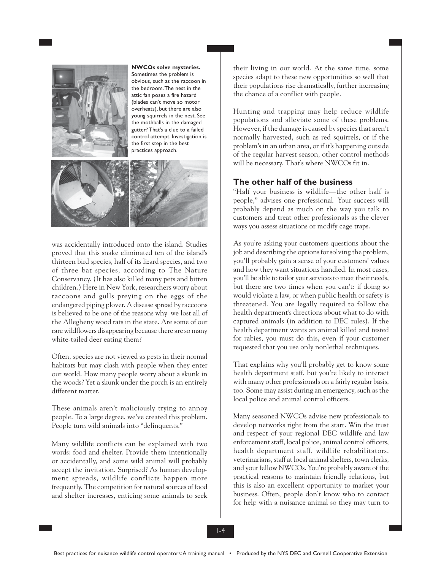

**NWCOs solve mysteries.** Sometimes the problem is obvious, such as the raccoon in the bedroom. The nest in the attic fan poses a fire hazard (blades can't move so motor overheats), but there are also young squirrels in the nest. See the mothballs in the damaged gutter? That's a clue to a failed control attempt. Investigation is the first step in the best practices approach.



was accidentally introduced onto the island. Studies proved that this snake eliminated ten of the island's thirteen bird species, half of its lizard species, and two of three bat species, according to The Nature Conservancy. (It has also killed many pets and bitten children.) Here in New York, researchers worry about raccoons and gulls preying on the eggs of the endangered piping plover. A disease spread by raccoons is believed to be one of the reasons why we lost all of the Allegheny wood rats in the state. Are some of our rare wildflowers disappearing because there are so many white-tailed deer eating them?

Often, species are not viewed as pests in their normal habitats but may clash with people when they enter our world. How many people worry about a skunk in the woods? Yet a skunk under the porch is an entirely different matter.

These animals aren't maliciously trying to annoy people. To a large degree, we've created this problem. People turn wild animals into "delinquents."

Many wildlife conflicts can be explained with two words: food and shelter. Provide them intentionally or accidentally, and some wild animal will probably accept the invitation. Surprised? As human development spreads, wildlife conflicts happen more frequently. The competition for natural sources of food and shelter increases, enticing some animals to seek their living in our world. At the same time, some species adapt to these new opportunities so well that their populations rise dramatically, further increasing the chance of a conflict with people.

Hunting and trapping may help reduce wildlife populations and alleviate some of these problems. However, if the damage is caused by species that aren't normally harvested, such as red squirrels, or if the problem's in an urban area, or if it's happening outside of the regular harvest season, other control methods will be necessary. That's where NWCOs fit in.

# **The other half of the business**

"Half your business is wildlife—the other half is people," advises one professional. Your success will probably depend as much on the way you talk to customers and treat other professionals as the clever ways you assess situations or modify cage traps.

As you're asking your customers questions about the job and describing the options for solving the problem, you'll probably gain a sense of your customers' values and how they want situations handled. In most cases, you'll be able to tailor your services to meet their needs, but there are two times when you can't: if doing so would violate a law, or when public health or safety is threatened. You are legally required to follow the health department's directions about what to do with captured animals (in addition to DEC rules). If the health department wants an animal killed and tested for rabies, you must do this, even if your customer requested that you use only nonlethal techniques.

That explains why you'll probably get to know some health department staff, but you're likely to interact with many other professionals on a fairly regular basis, too. Some may assist during an emergency, such as the local police and animal control officers.

Many seasoned NWCOs advise new professionals to develop networks right from the start. Win the trust and respect of your regional DEC wildlife and law enforcement staff, local police, animal control officers, health department staff, wildlife rehabilitators, veterinarians, staff at local animal shelters, town clerks, and your fellow NWCOs. You're probably aware of the practical reasons to maintain friendly relations, but this is also an excellent opportunity to market your business. Often, people don't know who to contact for help with a nuisance animal so they may turn to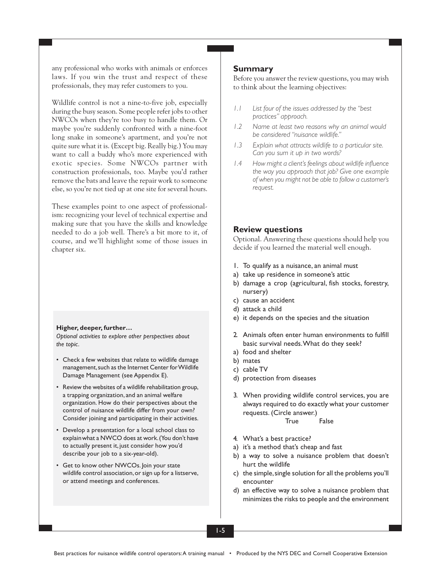any professional who works with animals or enforces laws. If you win the trust and respect of these professionals, they may refer customers to you.

Wildlife control is not a nine-to-five job, especially during the busy season. Some people refer jobs to other NWCOs when they're too busy to handle them. Or maybe you're suddenly confronted with a nine-foot long snake in someone's apartment, and you're not quite sure what it is. (Except big. Really big.) You may want to call a buddy who's more experienced with exotic species. Some NWCOs partner with construction professionals, too. Maybe you'd rather remove the bats and leave the repair work to someone else, so you're not tied up at one site for several hours.

These examples point to one aspect of professionalism: recognizing your level of technical expertise and making sure that you have the skills and knowledge needed to do a job well. There's a bit more to it, of course, and we'll highlight some of those issues in chapter six.

#### **Higher, deeper, further…**

*Optional activities to explore other perspectives about the topic.*

- Check a few websites that relate to wildlife damage management, such as the Internet Center for Wildlife Damage Management (see Appendix E).
- Review the websites of a wildlife rehabilitation group, a trapping organization, and an animal welfare organization. How do their perspectives about the control of nuisance wildlife differ from your own? Consider joining and participating in their activities.
- Develop a presentation for a local school class to explainwhat a NWCO does at work. (You don't have to actually present it, just consider how you'd describe your job to a six-year-old).
- Get to know other NWCOs. Join your state wildlife control association, or sign up for a listserve, or attend meetings and conferences.

### **Summary**

Before you answer the review questions, you may wish to think about the learning objectives:

- *1.1 List four of the issues addressed by the "best practices" approach.*
- *1.2 Name at least two reasons why an animal would be considered "nuisance wildlife."*
- *1.3 Explain what attracts wildlife to a particular site. Can you sum it up in two words?*
- *1.4 How might a client's feelings about wildlife influence the way you approach that job? Give one example of when you might not be able to follow a customer's request.*

### **Review questions**

Optional. Answering these questions should help you decide if you learned the material well enough.

- 1. To qualify as a nuisance, an animal must
- a) take up residence in someone's attic
- b) damage a crop (agricultural, fish stocks, forestry, nursery)
- c) cause an accident
- d) attack a child
- e) it depends on the species and the situation
- 2. Animals often enter human environments to fulfill basic survival needs. What do they seek?
- a) food and shelter
- b) mates
- c) cable TV
- d) protection from diseases
- 3. When providing wildlife control services, you are always required to do exactly what your customer requests. (Circle answer.)

True False

- 4. What's a best practice?
- a) it's a method that's cheap and fast
- b) a way to solve a nuisance problem that doesn't hurt the wildlife
- c) the simple, single solution for all the problems you'll encounter
- d) an effective way to solve a nuisance problem that minimizes the risks to people and the environment